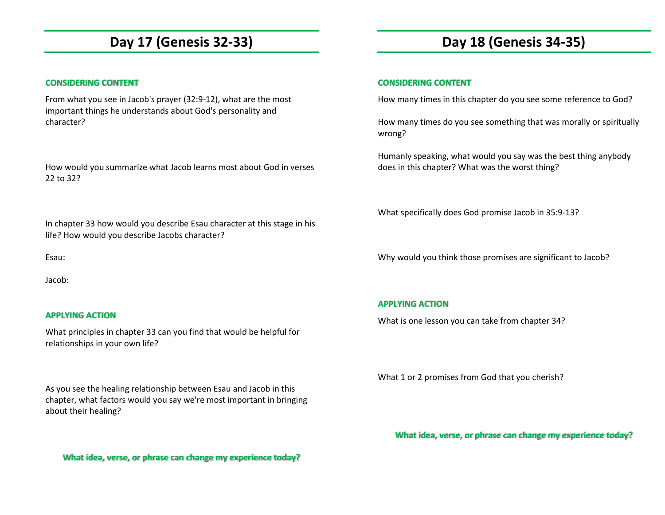# **Day 17 (Genesis 32-33)**

### **CONSIDERING CONTENT**

From what you see in Jacob's prayer (32:9-12), what are the most important things he understands about God's personality and character?

How would you summarize what Jacob learns most about God in verses 22 to 32?

In chapter 33 how would you describe Esau character at this stage in his life? How would you describe Jacobs character?

Esau:

Jacob:

### **APPLYING ACTION**

What principles in chapter 33 can you find that would be helpful for relationships in your own life?

As you see the healing relationship between Esau and Jacob in this chapter, what factors would you say we're most important in bringing about their healing?

# **Day 18 (Genesis 34-35)**

### **CONSIDERING CONTENT**

How many times in this chapter do you see some reference to God?

How many times do you see something that was morally or spiritually wrong?

Humanly speaking, what would you say was the best thing anybody does in this chapter? What was the worst thing?

What specifically does God promise Jacob in 35:9-13?

Why would you think those promises are significant to Jacob?

### **APPLYING ACTION**

What is one lesson you can take from chapter 34?

What 1 or 2 promises from God that you cherish?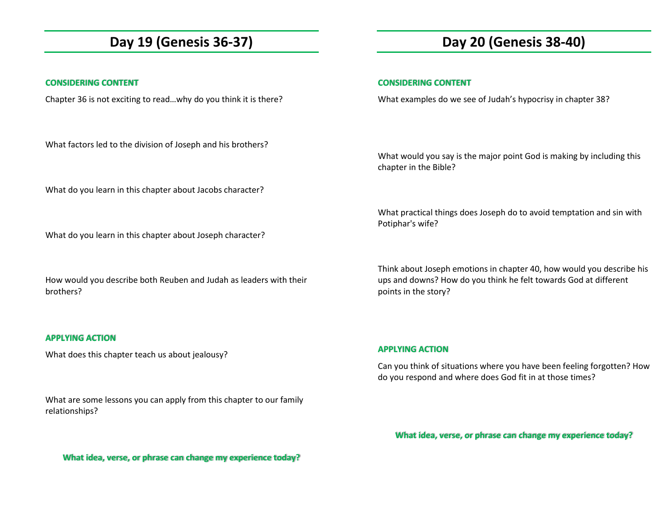### **Day 19 (Genesis 36-37)**

### **CONSIDERING CONTENT**

Chapter 36 is not exciting to read…why do you think it is there?

What factors led to the division of Joseph and his brothers?

What do you learn in this chapter about Jacobs character?

What do you learn in this chapter about Joseph character?

How would you describe both Reuben and Judah as leaders with their brothers?

### **APPLYING ACTION**

What does this chapter teach us about jealousy?

What are some lessons you can apply from this chapter to our family relationships?

# **Day 20 (Genesis 38-40)**

### **CONSIDERING CONTENT**

What examples do we see of Judah's hypocrisy in chapter 38?

What would you say is the major point God is making by including this chapter in the Bible?

What practical things does Joseph do to avoid temptation and sin with Potiphar's wife?

Think about Joseph emotions in chapter 40, how would you describe his ups and downs? How do you think he felt towards God at different points in the story?

### **APPLYING ACTION**

Can you think of situations where you have been feeling forgotten? How do you respond and where does God fit in at those times?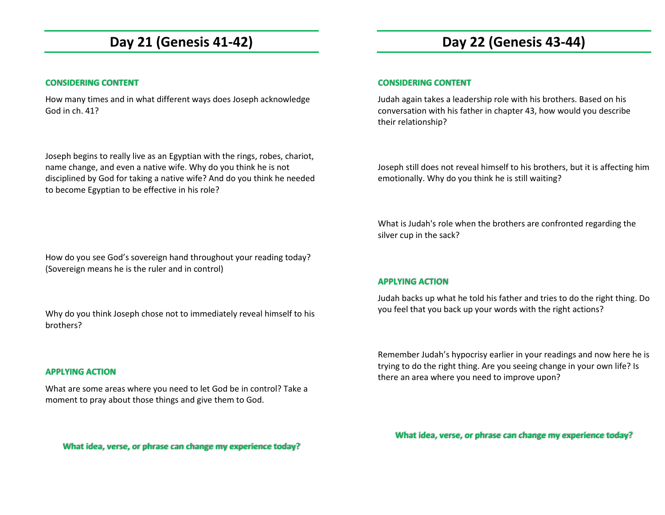## **Day 21 (Genesis 41-42)**

### **CONSIDERING CONTENT**

How many times and in what different ways does Joseph acknowledge God in ch. 41?

Joseph begins to really live as an Egyptian with the rings, robes, chariot, name change, and even a native wife. Why do you think he is not disciplined by God for taking a native wife? And do you think he needed to become Egyptian to be effective in his role?

### How do you see God's sovereign hand throughout your reading today? (Sovereign means he is the ruler and in control)

Why do you think Joseph chose not to immediately reveal himself to his brothers?

### **APPLYING ACTION**

What are some areas where you need to let God be in control? Take a moment to pray about those things and give them to God.

**What idea, verse, or phrase can change my experience today?**

# **Day 22 (Genesis 43-44)**

### **CONSIDERING CONTENT**

Judah again takes a leadership role with his brothers. Based on his conversation with his father in chapter 43, how would you describe their relationship?

Joseph still does not reveal himself to his brothers, but it is affecting him emotionally. Why do you think he is still waiting?

What is Judah's role when the brothers are confronted regarding the silver cup in the sack?

### **APPLYING ACTION**

Judah backs up what he told his father and tries to do the right thing. Do you feel that you back up your words with the right actions?

Remember Judah's hypocrisy earlier in your readings and now here he is trying to do the right thing. Are you seeing change in your own life? Is there an area where you need to improve upon?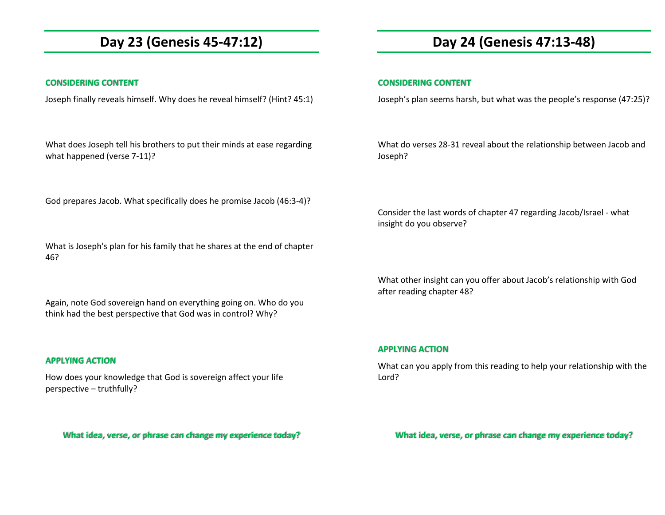### **Day 23 (Genesis 45-47:12)**

### **CONSIDERING CONTENT**

Joseph finally reveals himself. Why does he reveal himself? (Hint? 45:1)

What does Joseph tell his brothers to put their minds at ease regarding what happened (verse 7-11)?

God prepares Jacob. What specifically does he promise Jacob (46:3-4)?

What is Joseph's plan for his family that he shares at the end of chapter 46?

Again, note God sovereign hand on everything going on. Who do you think had the best perspective that God was in control? Why?

### **APPLYING ACTION**

How does your knowledge that God is sovereign affect your life perspective – truthfully?

**What idea, verse, or phrase can change my experience today?**

### **Day 24 (Genesis 47:13-48)**

#### **CONSIDERING CONTENT**

Joseph's plan seems harsh, but what was the people's response (47:25)?

What do verses 28-31 reveal about the relationship between Jacob and Joseph?

Consider the last words of chapter 47 regarding Jacob/Israel - what insight do you observe?

What other insight can you offer about Jacob's relationship with God after reading chapter 48?

### **APPLYING ACTION**

What can you apply from this reading to help your relationship with the Lord?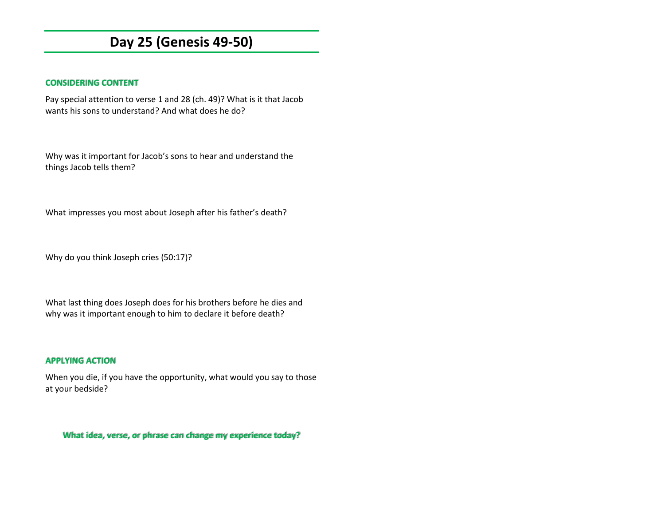### **Day 25 (Genesis 49-50)**

### **CONSIDERING CONTENT**

Pay special attention to verse 1 and 28 (ch. 49)? What is it that Jacob wants his sons to understand? And what does he do?

Why was it important for Jacob's sons to hear and understand the things Jacob tells them?

What impresses you most about Joseph after his father's death?

Why do you think Joseph cries (50:17)?

What last thing does Joseph does for his brothers before he dies and why was it important enough to him to declare it before death?

### **APPLYING ACTION**

When you die, if you have the opportunity, what would you say to those at your bedside?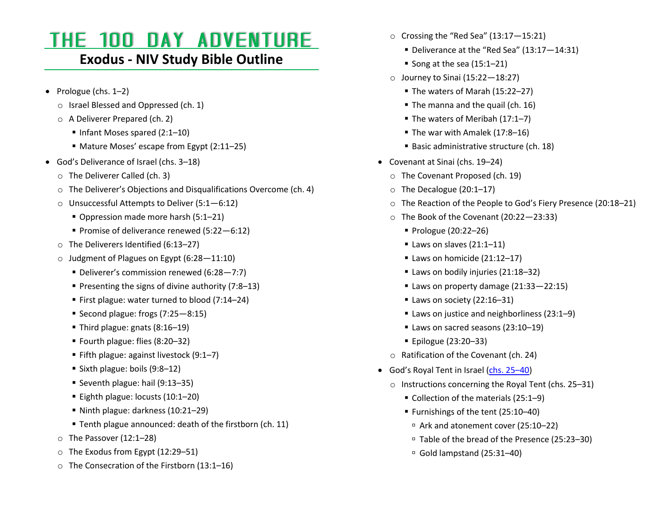# THE 100 DAY ADVENTURE

### **Exodus - NIV Study Bible Outline**

- Prologue [\(chs. 1](https://www.biblica.com/bible/?osis=NIV:Exod.1-Exod.2)–2)
	- o Israel Blessed and Oppressed [\(ch. 1\)](https://www.biblica.com/bible/niv/exodus/1/)
	- o A Deliverer Prepared [\(ch. 2\)](https://www.biblica.com/bible/niv/exodus/2/)
		- Infant Moses spared [\(2:1](https://www.biblica.com/bible/?osis=NIV:Exod.2.1-Exod.2.10)-10)
		- Mature Moses' escape from Egypt ([2:11](https://www.biblica.com/bible/?osis=NIV:Exod.2.11-Exod.2.25)–25)
- God's Deliverance of Israel [\(chs. 3](https://www.biblica.com/bible/?osis=NIV:Exod.3.1-Exod.12.13)–18)
	- o The Deliverer Called [\(ch. 3\)](https://www.biblica.com/bible/niv/exodus/3/)
	- o The Deliverer's Objections and Disqualifications Overcome ([ch. 4\)](https://www.biblica.com/bible/niv/exodus/4/)
	- o Unsuccessful Attempts to Deliver (5:1—[6:12\)](https://www.biblica.com/bible/?osis=NIV:Exod.5.1-Exod.6.12)
		- Oppression made more harsh [\(5:1](https://www.biblica.com/bible/?osis=NIV:Exod.5.1-Exod.5.21)–21)
		- Promise of deliverance renewed [\(5:22](https://www.biblica.com/bible/?osis=NIV:Exod.5.22-Exod.6.12)-6:12)
	- o The Deliverers Identified [\(6:13](https://www.biblica.com/bible/?osis=NIV:Exod.6.13-Exod.6.27)–27)
	- o Judgment of Plagues on Egypt (6:28—[11:10\)](https://www.biblica.com/bible/?osis=NIV:Exod.6.28-Exod.11.10)
		- Deliverer's commission renewed ([6:28](https://www.biblica.com/bible/?osis=NIV:Exod.6.28-Exod.7.7)–7:7)
		- Presenting the signs of divine authority [\(7:8](https://www.biblica.com/bible/?osis=NIV:Exod.7.8-Exod.7.13)–13)
		- First plague: water turned to blood [\(7:14](https://www.biblica.com/bible/?osis=NIV:Exod.7.14-Exod.7.24)–24)
		- Second plague: frogs [\(7:25](https://www.biblica.com/bible/?osis=NIV:Exod.7.25-Exod.8.15)–8:15)
		- Third plague: gnats  $(8:16-19)$  $(8:16-19)$
		- Fourth plague: flies [\(8:20](https://www.biblica.com/bible/?osis=NIV:Exod.8.20-Exod.8.32)–32)
		- Fifth plague: against livestock  $(9:1-7)$  $(9:1-7)$
		- Sixth plague: boils  $(9:8-12)$  $(9:8-12)$
		- Seventh plague: hail [\(9:13](https://www.biblica.com/bible/?osis=NIV:Exod.9.13-Exod.9.35)–35)
		- Eighth plague: locusts  $(10:1-20)$  $(10:1-20)$
		- Ninth plague: darkness [\(10:21](https://www.biblica.com/bible/?osis=NIV:Exod.10.21-Exod.10.29)–29)
		- Tenth plague announced: death of the firstborn [\(ch. 11\)](https://www.biblica.com/bible/niv/exodus/11/)
	- o The Passover [\(12:1](https://www.biblica.com/bible/?osis=NIV:Exod.12.1-Exod.12.28)–28)
	- o The Exodus from Egypt [\(12:29](https://www.biblica.com/bible/?osis=NIV:Exod.12.29-Exod.12.51)–51)
	- o The Consecration of the Firstborn [\(13:1](https://www.biblica.com/bible/?osis=NIV:Exod.13.1-Exod.13.16)–16)
- $\circ$  Crossing the "Red Sea" (13:17-[15:21\)](https://www.biblica.com/bible/?osis=NIV:Exod.13.17-Exod.15.21)
	- Deliverance at the "Red Sea" (13:17–[14:31\)](https://www.biblica.com/bible/?osis=NIV:Exod.13.17-Exod.14.31)
	- Song at the sea  $(15:1-21)$  $(15:1-21)$
- $\circ$  Journey to Sinai [\(15:22](https://www.biblica.com/bible/?osis=NIV:Exod.15.22-Exod.18.27) 18:27)
	- The waters of Marah [\(15:22](https://www.biblica.com/bible/?osis=NIV:Exod.15.22-Exod.15.27)–27)
	- The manna and the quail [\(ch. 16\)](https://www.biblica.com/bible/niv/exodus/16/)
	- The waters of Meribah [\(17:1](https://www.biblica.com/bible/?osis=NIV:Exod.17.1-Exod.17.7)–7)
	- The war with Amalek  $(17:8-16)$  $(17:8-16)$
	- Basic administrative structure [\(ch. 18\)](https://www.biblica.com/bible/niv/exodus/18/)
- Covenant at Sinai [\(chs. 19](https://www.biblica.com/bible/?osis=NIV:Exod.19-Exod.24)–24)
	- o The Covenant Proposed [\(ch. 19\)](https://www.biblica.com/bible/niv/exodus/19/)
	- o The Decalogue [\(20:1](https://www.biblica.com/bible/?osis=NIV:Exod.20.1-Exod.20.17)–17)
	- o The Reaction of the People to God's Fiery Presence ([20:18](https://www.biblica.com/bible/?osis=NIV:Exod.20.18-Exod.20.21)–21)
	- o The Book of the Covenant [\(20:22](https://www.biblica.com/bible/?osis=NIV:Exod.20.22-Exod.23.33)—23:33)
		- Prologue [\(20:22](https://www.biblica.com/bible/?osis=NIV:Exod.20.22-Exod.20.26)–26)
		- $\blacksquare$  Laws on slaves [\(21:1](https://www.biblica.com/bible/?osis=NIV:Exod.21.1-Exod.21.11)-11)
		- $\blacksquare$  Laws on homicide [\(21:12](https://www.biblica.com/bible/?osis=NIV:Exod.21.12-Exod.21.17)-17)
		- Laws on bodily injuries [\(21:18](https://www.biblica.com/bible/?osis=NIV:Exod.21.18-Exod.21.36)-32)
		- Laws on property damage  $(21:33-22:15)$  $(21:33-22:15)$
		- Laws on society [\(22:16](https://www.biblica.com/bible/?osis=NIV:Exod.22.16-Exod.22.31)-31)
		- Laws on justice and neighborliness [\(23:1](https://www.biblica.com/bible/?osis=NIV:Exod.23.1-Exod.23.9)–9)
		- Laws on sacred seasons [\(23:10](https://www.biblica.com/bible/?osis=NIV:Exod.23.10-Exod.23.19)–19)
		- Epilogue [\(23:20](https://www.biblica.com/bible/?osis=NIV:Exod.23.20-Exod.23.33)–33)
	- o Ratification of the Covenant [\(ch. 24\)](https://www.biblica.com/bible/niv/exodus/24/)
- God's Royal Tent in Israel ([chs. 25](https://www.biblica.com/bible/?osis=NIV:Exod.25.1-Exod.32.7)–40)
	- o Instructions concerning the Royal Tent [\(chs.](https://www.biblica.com/bible/?osis=NIV:Exod.25-Exod.31) 25–31)
		- Collection of the materials [\(25:1](https://www.biblica.com/bible/?osis=NIV:Exod.25.1-Exod.25.9)–9)
		- Furnishings of the tent [\(25:10](https://www.biblica.com/bible/?osis=NIV:Exod.25.10-Exod.25.40)–40)
			- Ark and atonement cover [\(25:10](https://www.biblica.com/bible/?osis=NIV:Exod.25.10-Exod.25.22)–22)
			- Table of the bread of the Presence [\(25:23](https://www.biblica.com/bible/?osis=NIV:Exod.25.23-Exod.25.30)–30)
			- $\Box$  Gold lampstand [\(25:31](https://www.biblica.com/bible/?osis=NIV:Exod.25.31-Exod.25.40)-40)